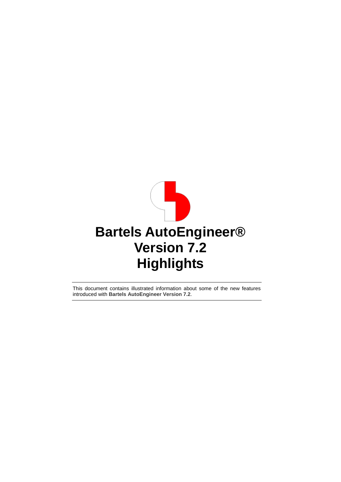

This document contains illustrated information about some of the new features introduced with **Bartels AutoEngineer Version 7.2**.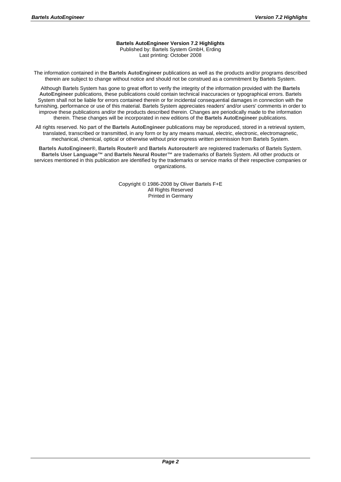#### **Bartels AutoEngineer Version 7.2 Highlights**

Published by: Bartels System GmbH, Erding Last printing: October 2008

The information contained in the **Bartels AutoEngineer** publications as well as the products and/or programs described therein are subject to change without notice and should not be construed as a commitment by Bartels System.

Although Bartels System has gone to great effort to verify the integrity of the information provided with the **Bartels AutoEngineer** publications, these publications could contain technical inaccuracies or typographical errors. Bartels System shall not be liable for errors contained therein or for incidental consequential damages in connection with the furnishing, performance or use of this material. Bartels System appreciates readers' and/or users' comments in order to improve these publications and/or the products described therein. Changes are periodically made to the information therein. These changes will be incorporated in new editions of the **Bartels AutoEngineer** publications.

All rights reserved. No part of the **Bartels AutoEngineer** publications may be reproduced, stored in a retrieval system, translated, transcribed or transmitted, in any form or by any means manual, electric, electronic, electromagnetic, mechanical, chemical, optical or otherwise without prior express written permission from Bartels System.

**Bartels AutoEngineer®**, **Bartels Router®** and **Bartels Autorouter®** are registered trademarks of Bartels System. **Bartels User Language™** and **Bartels Neural Router™** are trademarks of Bartels System. All other products or services mentioned in this publication are identified by the trademarks or service marks of their respective companies or organizations.

> Copyright © 1986-2008 by Oliver Bartels F+E All Rights Reserved Printed in Germany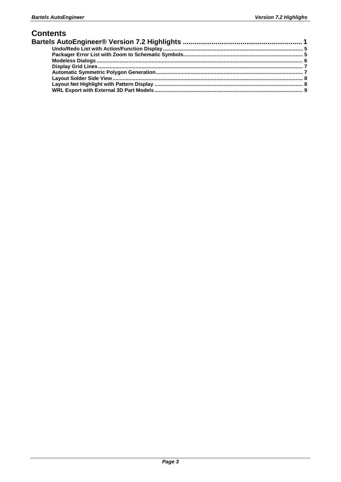#### **Contents**

| Bartels AutoEngineer® Version 7.2 Highlights …………………………………………………………………………………………… |  |
|----------------------------------------------------------------------------------|--|
|                                                                                  |  |
|                                                                                  |  |
|                                                                                  |  |
|                                                                                  |  |
|                                                                                  |  |
|                                                                                  |  |
|                                                                                  |  |
|                                                                                  |  |
|                                                                                  |  |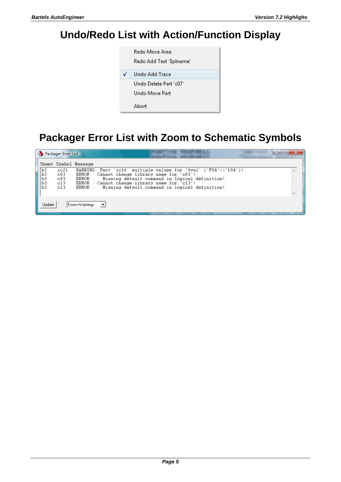# **Undo/Redo List with Action/Function Display**



## **Packager Error List with Zoom to Schematic Symbols**

|                            | Packager Error List              |                                                                                                                                                                                                                                                                                           |  |
|----------------------------|----------------------------------|-------------------------------------------------------------------------------------------------------------------------------------------------------------------------------------------------------------------------------------------------------------------------------------------|--|
|                            |                                  | Sheet Symbol Message                                                                                                                                                                                                                                                                      |  |
| b2<br>b3<br>b3<br>b3<br>b3 | ic21<br>C03<br>C03<br>C13<br>C13 | WARNING: Part 'ic16' multiple values for '\$val' ('F04'<>'f04')!<br>ERROR : Cannot change library name for 'c03'!<br>ERROR : Missing default command in logical definition!<br>ERROR : Cannot change library name for 'c13'!<br>Missing default command in logical definition!<br>ERROR : |  |
| Update                     |                                  | Errors+Warnings                                                                                                                                                                                                                                                                           |  |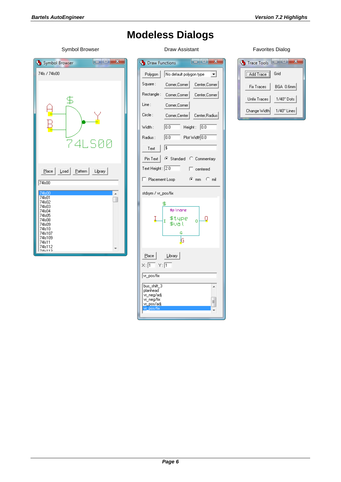# **Modeless Dialogs**

Symbol Browser **Draw Assistant** Draw Assistant Favorites Dialog Symbol Browser 74ls / 74ls00  $\overline{\mathfrak{B}}$  $\overline{\mathsf{B}}$ 74LS00  $Place$ Load Pattern Library 74s00  $\overline{\phantom{a}}$ 74<sub>s01</sub> O 74s01<br>74s02<br>74s03<br>74s05<br>74s08<br>74s10<br>74s10<br>74s10 7418107<br>|7418109<br>|7418112<br>|7416112

|  | G<br><b>Draw Functions</b>                                                             | x<br>E                                            |  |  |
|--|----------------------------------------------------------------------------------------|---------------------------------------------------|--|--|
|  | Polygon                                                                                | No default polygon type<br>▾╎                     |  |  |
|  | Square :                                                                               | Corner, Corner<br>Center, Corner                  |  |  |
|  | Rectangle :                                                                            | Corner,Corner  <br>Center, Corner                 |  |  |
|  | Line:                                                                                  | Corner, Corner                                    |  |  |
|  | Circle:                                                                                | Corner,Center  <br>Center,Radius                  |  |  |
|  | Width :                                                                                | 10.0<br>Height :<br>10.0                          |  |  |
|  | Radius :                                                                               | lo.o<br>Plot Width 0.0                            |  |  |
|  | Text                                                                                   | 1\$                                               |  |  |
|  | Pin Text                                                                               | ● Standard C Commentary                           |  |  |
|  | Text Height : 2.0<br>г<br>centered                                                     |                                                   |  |  |
|  | Placement Loop                                                                         | ோமை ்ெmil                                         |  |  |
|  | stdsym / vr_pos/fix                                                                    |                                                   |  |  |
|  |                                                                                        | \$<br>≸p \name<br>\$type<br>U<br>I<br>n.<br>\$val |  |  |
|  | G<br>G                                                                                 |                                                   |  |  |
|  | Place<br>$\times$ : $\overline{1}$ $\times$ : $\overline{1}$                           | Library                                           |  |  |
|  | vr_pos/fix                                                                             |                                                   |  |  |
|  | bus_shift_3<br>planhead<br>vr_neg/adj<br>vr_neg/fix<br><u>vr_pos/adj</u><br>vr_pos/fix |                                                   |  |  |
|  |                                                                                        |                                                   |  |  |

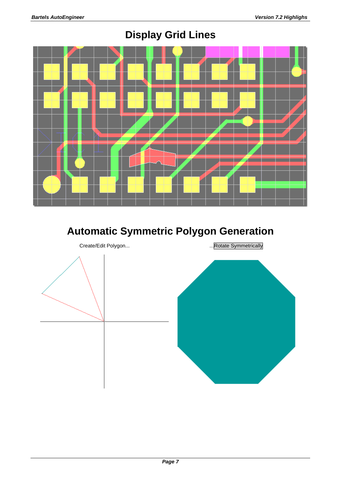

## **Display Grid Lines**

## **Automatic Symmetric Polygon Generation**

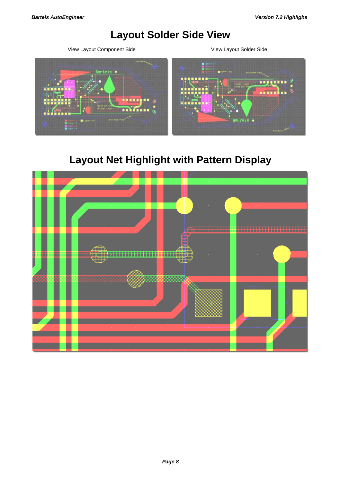### **Layout Solder Side View**

View Layout Component Side View Layout Solder Side



## **Layout Net Highlight with Pattern Display**